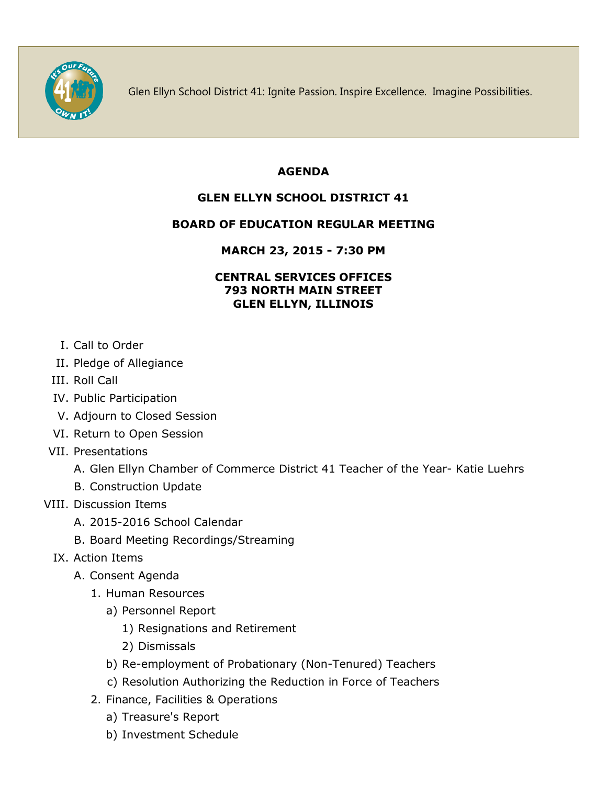

Glen Ellyn School District 41: Ignite Passion. Inspire Excellence. Imagine Possibilities.

#### **AGENDA**

# **GLEN ELLYN SCHOOL DISTRICT 41**

## **BOARD OF EDUCATION REGULAR MEETING**

## **MARCH 23, 2015 - 7:30 PM**

#### **CENTRAL SERVICES OFFICES 793 NORTH MAIN STREET GLEN ELLYN, ILLINOIS**

- I. Call to Order
- II. Pledge of Allegiance
- III. Roll Call
- IV. Public Participation
- V. Adjourn to Closed Session
- VI. Return to Open Session
- VII. Presentations
	- A. Glen Ellyn Chamber of Commerce District 41 Teacher of the Year- Katie Luehrs
	- B. Construction Update
- VIII. Discussion Items
	- A. 2015-2016 School Calendar
	- B. Board Meeting Recordings/Streaming
	- IX. Action Items
		- A. Consent Agenda
			- 1. Human Resources
				- a) Personnel Report
					- 1) Resignations and Retirement
					- 2) Dismissals
				- b) Re-employment of Probationary (Non-Tenured) Teachers
				- c) Resolution Authorizing the Reduction in Force of Teachers
			- 2. Finance, Facilities & Operations
				- a) Treasure's Report
				- b) Investment Schedule